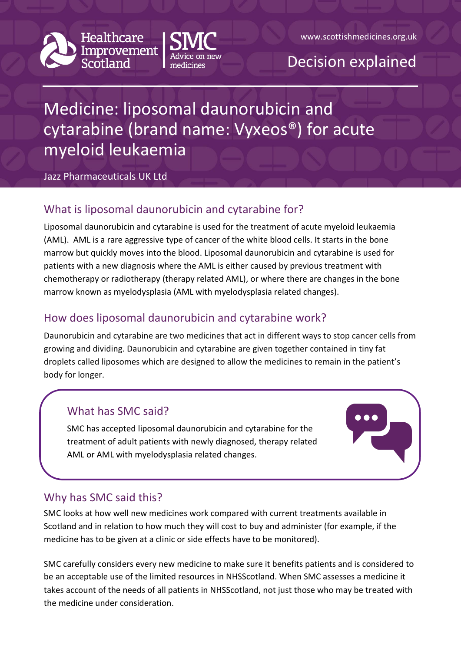



## Decision explained

# Medicine: liposomal daunorubicin and cytarabine (brand name: Vyxeos®) for acute myeloid leukaemia

#### Jazz Pharmaceuticals UK Ltd

## What is liposomal daunorubicin and cytarabine for?

Liposomal daunorubicin and cytarabine is used for the treatment of acute myeloid leukaemia (AML). AML is a rare aggressive type of cancer of the white blood cells. It starts in the bone marrow but quickly moves into the blood. Liposomal daunorubicin and cytarabine is used for patients with a new diagnosis where the AML is either caused by previous treatment with chemotherapy or radiotherapy (therapy related AML), or where there are changes in the bone marrow known as myelodysplasia (AML with myelodysplasia related changes).

## How does liposomal daunorubicin and cytarabine work?

Daunorubicin and cytarabine are two medicines that act in different ways to stop cancer cells from growing and dividing. Daunorubicin and cytarabine are given together contained in tiny fat droplets called liposomes which are designed to allow the medicines to remain in the patient's body for longer.

## What has SMC said?

SMC has accepted liposomal daunorubicin and cytarabine for the treatment of adult patients with newly diagnosed, therapy related AML or AML with myelodysplasia related changes.

#### Why has SMC said this?

SMC looks at how well new medicines work compared with current treatments available in Scotland and in relation to how much they will cost to buy and administer (for example, if the medicine has to be given at a clinic or side effects have to be monitored).

SMC carefully considers every new medicine to make sure it benefits patients and is considered to be an acceptable use of the limited resources in NHSScotland. When SMC assesses a medicine it takes account of the needs of all patients in NHSScotland, not just those who may be treated with the medicine under consideration.